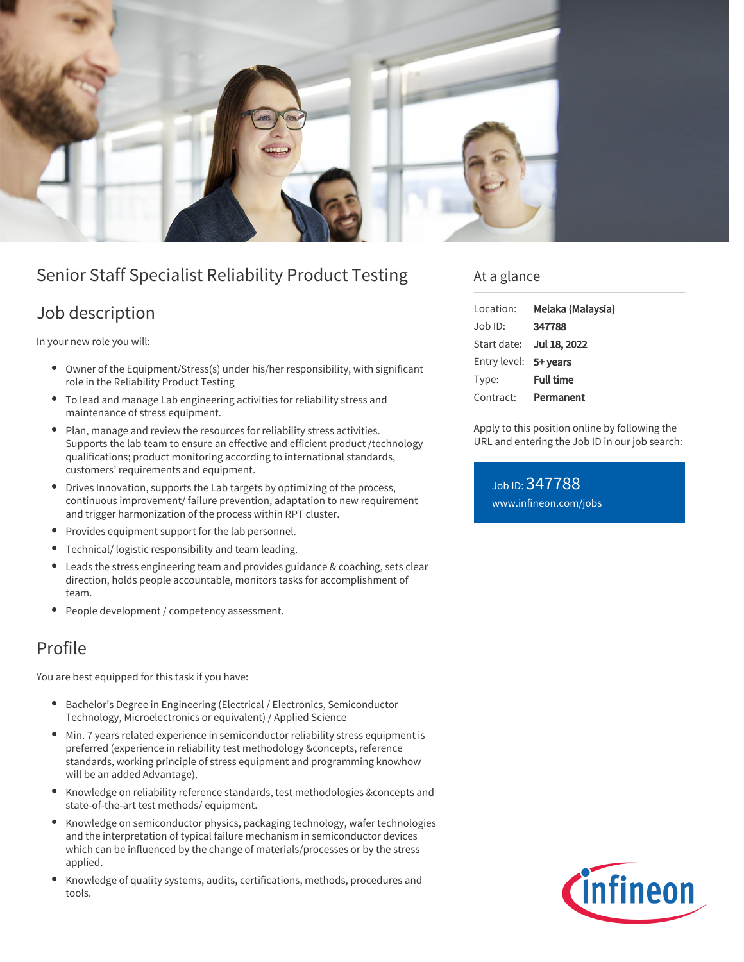

# Senior Staff Specialist Reliability Product Testing

### Job description

In your new role you will:

- Owner of the Equipment/Stress(s) under his/her responsibility, with significant role in the Reliability Product Testing
- To lead and manage Lab engineering activities for reliability stress and maintenance of stress equipment.
- Plan, manage and review the resources for reliability stress activities. Supports the lab team to ensure an effective and efficient product /technology qualifications; product monitoring according to international standards, customers' requirements and equipment.
- $\bullet$ Drives Innovation, supports the Lab targets by optimizing of the process, continuous improvement/ failure prevention, adaptation to new requirement and trigger harmonization of the process within RPT cluster.
- Provides equipment support for the lab personnel.
- Technical/ logistic responsibility and team leading.
- Leads the stress engineering team and provides guidance & coaching, sets clear  $\bullet$ direction, holds people accountable, monitors tasks for accomplishment of team.
- People development / competency assessment.

## Profile

You are best equipped for this task if you have:

- Bachelor's Degree in Engineering (Electrical / Electronics, Semiconductor  $\bullet$ Technology, Microelectronics or equivalent) / Applied Science
- Min. 7 years related experience in semiconductor reliability stress equipment is preferred (experience in reliability test methodology &concepts, reference standards, working principle of stress equipment and programming knowhow will be an added Advantage).
- Knowledge on reliability reference standards, test methodologies &concepts and state-of-the-art test methods/ equipment.
- Knowledge on semiconductor physics, packaging technology, wafer technologies and the interpretation of typical failure mechanism in semiconductor devices which can be influenced by the change of materials/processes or by the stress applied.
- Knowledge of quality systems, audits, certifications, methods, procedures and tools.

### At a glance

| Location:             | Melaka (Malaysia) |
|-----------------------|-------------------|
| Job ID:               | 347788            |
| Start date:           | Jul 18, 2022      |
| Entry level: 5+ years |                   |
| Type:                 | <b>Full time</b>  |
| Contract:             | Permanent         |

Apply to this position online by following the URL and entering the Job ID in our job search:

Job ID: 347788 [www.infineon.com/jobs](https://www.infineon.com/jobs)